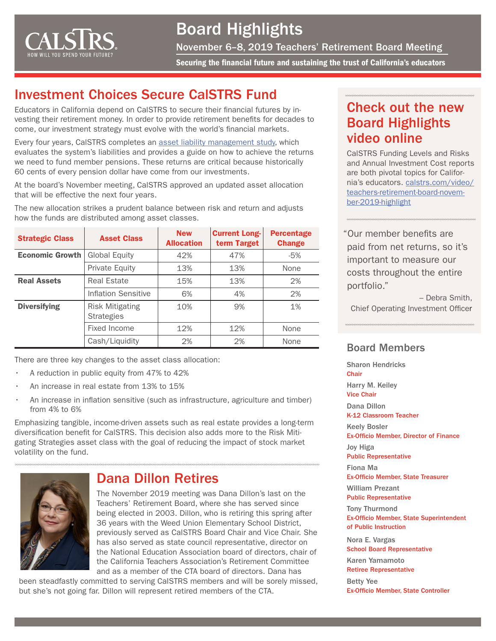

# Board Highlights

November 6–8, 2019 Teachers' Retirement Board Meeting

Securing the financial future and sustaining the trust of California's educators

## Investment Choices Secure CalSTRS Fund

Educators in California depend on CalSTRS to secure their financial futures by investing their retirement money. In order to provide retirement benefits for decades to come, our investment strategy must evolve with the world's financial markets.

Every four years, CalSTRS completes an [asset liability management study,](https://www.calstrs.com/asset-liability-management-study) which evaluates the system's liabilities and provides a guide on how to achieve the returns we need to fund member pensions. These returns are critical because historically 60 cents of every pension dollar have come from our investments.

At the board's November meeting, CalSTRS approved an updated asset allocation that will be effective the next four years.

The new allocation strikes a prudent balance between risk and return and adjusts how the funds are distributed among asset classes.

| <b>Strategic Class</b> | <b>Asset Class</b>                          | <b>New</b><br><b>Allocation</b> | <b>Current Long-</b><br>term Target | <b>Percentage</b><br><b>Change</b> |
|------------------------|---------------------------------------------|---------------------------------|-------------------------------------|------------------------------------|
| <b>Economic Growth</b> | <b>Global Equity</b>                        | 42%                             | 47%                                 | -5%                                |
|                        | <b>Private Equity</b>                       | 13%                             | 13%                                 | None                               |
| <b>Real Assets</b>     | Real Estate                                 | 15%                             | 13%                                 | 2%                                 |
|                        | Inflation Sensitive                         | 6%                              | 4%                                  | 2%                                 |
| <b>Diversifying</b>    | <b>Risk Mitigating</b><br><b>Strategies</b> | 10%                             | 9%                                  | 1%                                 |
|                        | Fixed Income                                | 12%                             | 12%                                 | None                               |
|                        | Cash/Liquidity                              | 2%                              | 2%                                  | None                               |

There are three key changes to the asset class allocation:

- A reduction in public equity from 47% to 42%
- An increase in real estate from 13% to 15%
- An increase in inflation sensitive (such as infrastructure, agriculture and timber) from 4% to 6%

Emphasizing tangible, income-driven assets such as real estate provides a long-term diversification benefit for CalSTRS. This decision also adds more to the Risk Mitigating Strategies asset class with the goal of reducing the impact of stock market volatility on the fund.



#### Dana Dillon Retires

The November 2019 meeting was Dana Dillon's last on the Teachers' Retirement Board, where she has served since being elected in 2003. Dillon, who is retiring this spring after 36 years with the Weed Union Elementary School District, previously served as CalSTRS Board Chair and Vice Chair. She has also served as state council representative, director on the National Education Association board of directors, chair of the California Teachers Association's Retirement Committee and as a member of the CTA board of directors. Dana has

been steadfastly committed to serving CalSTRS members and will be sorely missed, but she's not going far. Dillon will represent retired members of the CTA.

## Check out the new Board Highlights video online

CalSTRS Funding Levels and Risks and Annual Investment Cost reports are both pivotal topics for California's educators. [calstrs.com/video/](http://calstrs.com/video/teachers-retirement-board-november-2019-highlight) [teachers-retirement-board-novem](http://calstrs.com/video/teachers-retirement-board-november-2019-highlight)[ber-2019-highlight](http://calstrs.com/video/teachers-retirement-board-november-2019-highlight)

"Our member benefits are paid from net returns, so it's important to measure our costs throughout the entire portfolio."

– Debra Smith, Chief Operating Investment Officer

#### Board Members

Sharon Hendricks **Chair** Harry M. Keiley Vice Chair Dana Dillon K-12 Classroom Teacher Keely Bosler Ex-Officio Member, Director of Finance Joy Higa Public Representative Fiona Ma Ex-Officio Member, State Treasurer William Prezant Public Representative Tony Thurmond Ex-Officio Member, State Superintendent of Public Instruction Nora E. Vargas School Board Representative Karen Yamamoto Retiree Representative

Betty Yee Ex-Officio Member, State Controller